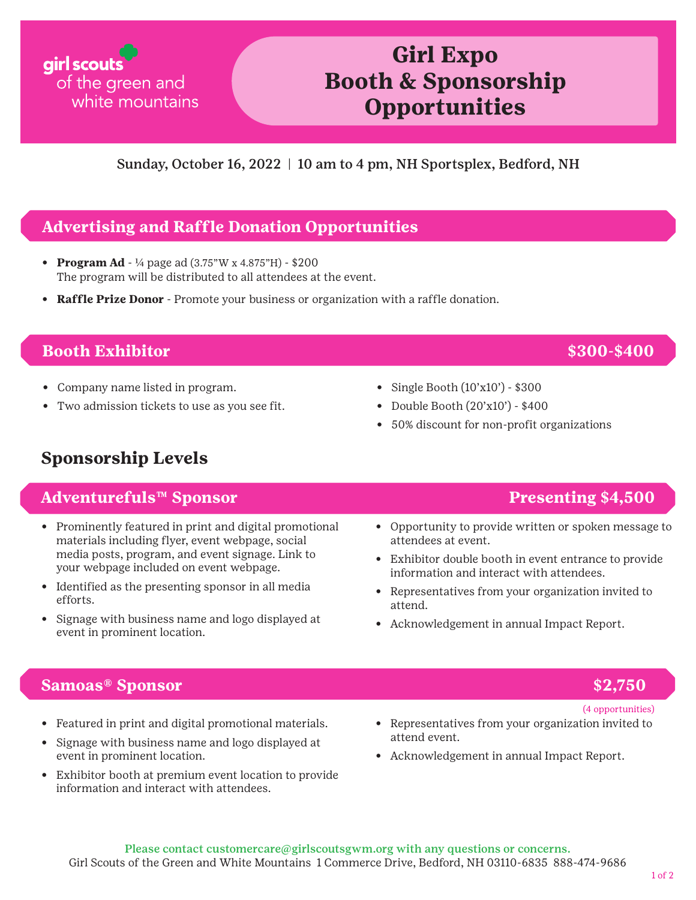# Sunday, October 16, 2022 | 10 am to 4 pm, NH Sportsplex, Bedford, NH **Opportunities**

**Girl Expo** 

**Booth & Sponsorship** 

## **Advertising and Raffle Donation Opportunities**

- **Program Ad** 1/4 page ad (3.75"W x 4.875"H) \$200 The program will be distributed to all attendees at the event.
- **Raffle Prize Donor** Promote your business or organization with a raffle donation.

### **Booth Exhibitor \$300-\$400**

girl scouts

of the green and

white mountains

- Company name listed in program.
- Two admission tickets to use as you see fit.
- Single Booth (10'x10') \$300
- Double Booth (20'x10') \$400
- 50% discount for non-profit organizations

# **Sponsorship Levels**

### **Adventurefuls™ Sponsor Presenting \$4,500**

- Prominently featured in print and digital promotional materials including flyer, event webpage, social media posts, program, and event signage. Link to your webpage included on event webpage.
- Identified as the presenting sponsor in all media efforts.
- Signage with business name and logo displayed at event in prominent location.

- Opportunity to provide written or spoken message to attendees at event.
- Exhibitor double booth in event entrance to provide information and interact with attendees.
- Representatives from your organization invited to attend.
- Acknowledgement in annual Impact Report.

### **Samoas® Sponsor \$2,750**

- Featured in print and digital promotional materials.
- Signage with business name and logo displayed at event in prominent location.
- Exhibitor booth at premium event location to provide information and interact with attendees.

#### (4 opportunities)

- Representatives from your organization invited to attend event.
- Acknowledgement in annual Impact Report.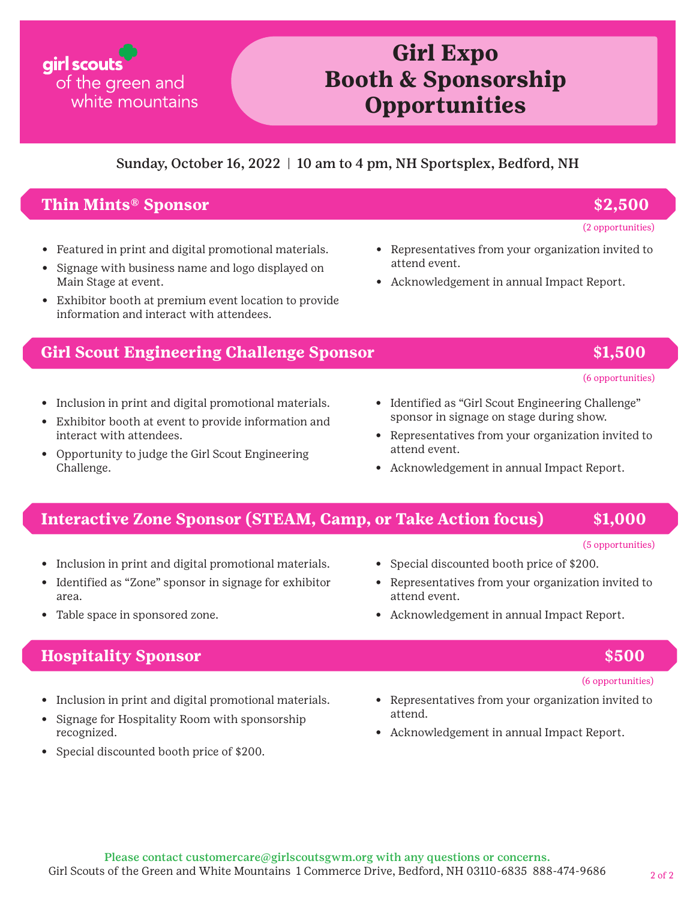# **Girl Expo Booth & Sponsorship Opportunities**

#### Sunday, October 16, 2022 | 10 am to 4 pm, NH Sportsplex, Bedford, NH

#### **Thin Mints® Sponsor \$2,500**

of the green and

white mountains

girl scouts

- Featured in print and digital promotional materials.
- Signage with business name and logo displayed on Main Stage at event.
- Exhibitor booth at premium event location to provide information and interact with attendees.

#### **Girl Scout Engineering Challenge Sponsor \$1,500**

- Inclusion in print and digital promotional materials.
- Exhibitor booth at event to provide information and interact with attendees.
- Opportunity to judge the Girl Scout Engineering Challenge.

attend event. • Acknowledgement in annual Impact Report.

• Representatives from your organization invited to

- Identified as "Girl Scout Engineering Challenge" sponsor in signage on stage during show.
- Representatives from your organization invited to attend event.
- Acknowledgement in annual Impact Report.

### **Interactive Zone Sponsor (STEAM, Camp, or Take Action focus) \$1,000**

- Inclusion in print and digital promotional materials.
- Identified as "Zone" sponsor in signage for exhibitor area.
- Table space in sponsored zone.

### **Hospitality Sponsor \$500**

- Inclusion in print and digital promotional materials.
- Signage for Hospitality Room with sponsorship recognized.
- Special discounted booth price of \$200.
- Special discounted booth price of \$200.
- Representatives from your organization invited to attend event.
- Acknowledgement in annual Impact Report.

(5 opportunities)

#### (6 opportunities)

- Representatives from your organization invited to attend.
- Acknowledgement in annual Impact Report.

#### (2 opportunities)

# (6 opportunities)